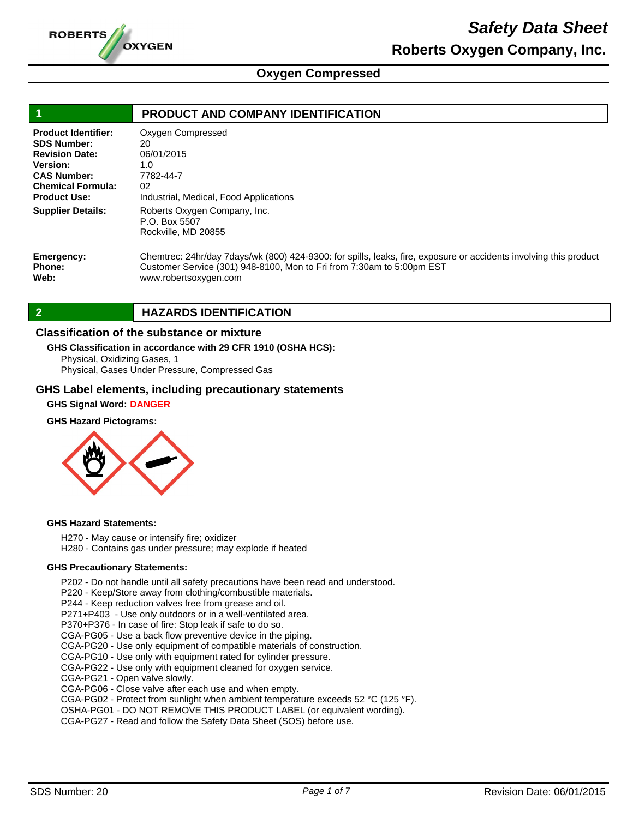

# *Safety Data Sheet* **Roberts Oxygen Company, Inc.**

## **Oxygen Compressed**

|                                                                                                                                                                | PRODUCT AND COMPANY IDENTIFICATION                                                                                                                                                                                  |
|----------------------------------------------------------------------------------------------------------------------------------------------------------------|---------------------------------------------------------------------------------------------------------------------------------------------------------------------------------------------------------------------|
| <b>Product Identifier:</b><br><b>SDS Number:</b><br><b>Revision Date:</b><br>Version:<br><b>CAS Number:</b><br><b>Chemical Formula:</b><br><b>Product Use:</b> | Oxygen Compressed<br>20<br>06/01/2015<br>1.0<br>7782-44-7<br>02<br>Industrial, Medical, Food Applications                                                                                                           |
| <b>Supplier Details:</b>                                                                                                                                       | Roberts Oxygen Company, Inc.<br>P.O. Box 5507<br>Rockville, MD 20855                                                                                                                                                |
| Emergency:<br>Phone:<br>Web:                                                                                                                                   | Chemtrec: 24hr/day 7days/wk (800) 424-9300: for spills, leaks, fire, exposure or accidents involving this product<br>Customer Service (301) 948-8100, Mon to Fri from 7:30am to 5:00pm EST<br>www.robertsoxygen.com |

**2 HAZARDS IDENTIFICATION** 

### **Classification of the substance or mixture**

### **GHS Classification in accordance with 29 CFR 1910 (OSHA HCS):**

Physical, Oxidizing Gases, 1

Physical, Gases Under Pressure, Compressed Gas

### **GHS Label elements, including precautionary statements**

### **GHS Signal Word: DANGER**

### **GHS Hazard Pictograms:**



### **GHS Hazard Statements:**

H270 - May cause or intensify fire; oxidizer

H280 - Contains gas under pressure; may explode if heated

### **GHS Precautionary Statements:**

P202 - Do not handle until all safety precautions have been read and understood.

P220 - Keep/Store away from clothing/combustible materials.

P244 - Keep reduction valves free from grease and oil.

P271+P403 - Use only outdoors or in a well-ventilated area.

P370+P376 - In case of fire: Stop leak if safe to do so.

CGA-PG05 - Use a back flow preventive device in the piping.

CGA-PG20 - Use only equipment of compatible materials of construction.

CGA-PG10 - Use only with equipment rated for cylinder pressure.

CGA-PG22 - Use only with equipment cleaned for oxygen service.

CGA-PG21 - Open valve slowly.

CGA-PG06 - Close valve after each use and when empty.

CGA-PG02 - Protect from sunlight when ambient temperature exceeds 52 °C (125 °F).

OSHA-PG01 - DO NOT REMOVE THIS PRODUCT LABEL (or equivalent wording).

CGA-PG27 - Read and follow the Safety Data Sheet (SOS) before use.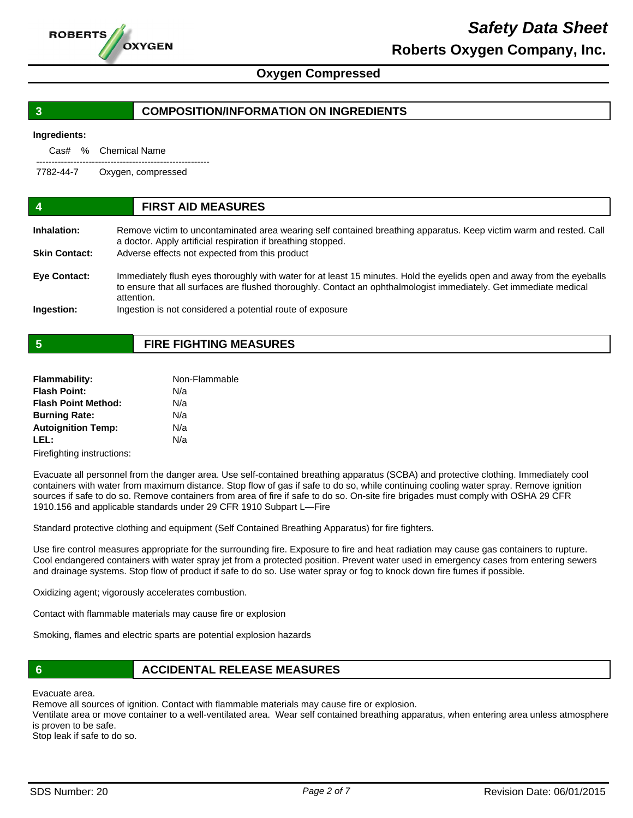

# *Safety Data Sheet* **Roberts Oxygen Company, Inc.**

### **Oxygen Compressed**

### **3 COMPOSITION/INFORMATION ON INGREDIENTS**

### **Ingredients:**

|           | Cas# % Chemical Name |
|-----------|----------------------|
| 7782-44-7 | Oxygen, compressed   |

| -4                   | <b>FIRST AID MEASURES</b>                                                                                                                                                                                                                                 |
|----------------------|-----------------------------------------------------------------------------------------------------------------------------------------------------------------------------------------------------------------------------------------------------------|
| Inhalation:          | Remove victim to uncontaminated area wearing self contained breathing apparatus. Keep victim warm and rested. Call<br>a doctor. Apply artificial respiration if breathing stopped.                                                                        |
| <b>Skin Contact:</b> | Adverse effects not expected from this product                                                                                                                                                                                                            |
| <b>Eye Contact:</b>  | Immediately flush eyes thoroughly with water for at least 15 minutes. Hold the eyelids open and away from the eyeballs<br>to ensure that all surfaces are flushed thoroughly. Contact an ophthalmologist immediately. Get immediate medical<br>attention. |
| Ingestion:           | Ingestion is not considered a potential route of exposure                                                                                                                                                                                                 |

## **5 FIRE FIGHTING MEASURES**

| <b>Flammability:</b>       | Non-Flammable |  |
|----------------------------|---------------|--|
| <b>Flash Point:</b>        | N/a           |  |
| <b>Flash Point Method:</b> | N/a           |  |
| <b>Burning Rate:</b>       | N/a           |  |
| <b>Autoignition Temp:</b>  | N/a           |  |
| LEL:                       | N/a           |  |
|                            |               |  |

Firefighting instructions:

Evacuate all personnel from the danger area. Use self-contained breathing apparatus (SCBA) and protective clothing. Immediately cool containers with water from maximum distance. Stop flow of gas if safe to do so, while continuing cooling water spray. Remove ignition sources if safe to do so. Remove containers from area of fire if safe to do so. On-site fire brigades must comply with OSHA 29 CFR 1910.156 and applicable standards under 29 CFR 1910 Subpart L—Fire

Standard protective clothing and equipment (Self Contained Breathing Apparatus) for fire fighters.

Use fire control measures appropriate for the surrounding fire. Exposure to fire and heat radiation may cause gas containers to rupture. Cool endangered containers with water spray jet from a protected position. Prevent water used in emergency cases from entering sewers and drainage systems. Stop flow of product if safe to do so. Use water spray or fog to knock down fire fumes if possible.

Oxidizing agent; vigorously accelerates combustion.

Contact with flammable materials may cause fire or explosion

Smoking, flames and electric sparts are potential explosion hazards

### **6 ACCIDENTAL RELEASE MEASURES**

Evacuate area.

Remove all sources of ignition. Contact with flammable materials may cause fire or explosion.

Ventilate area or move container to a well-ventilated area. Wear self contained breathing apparatus, when entering area unless atmosphere is proven to be safe.

Stop leak if safe to do so.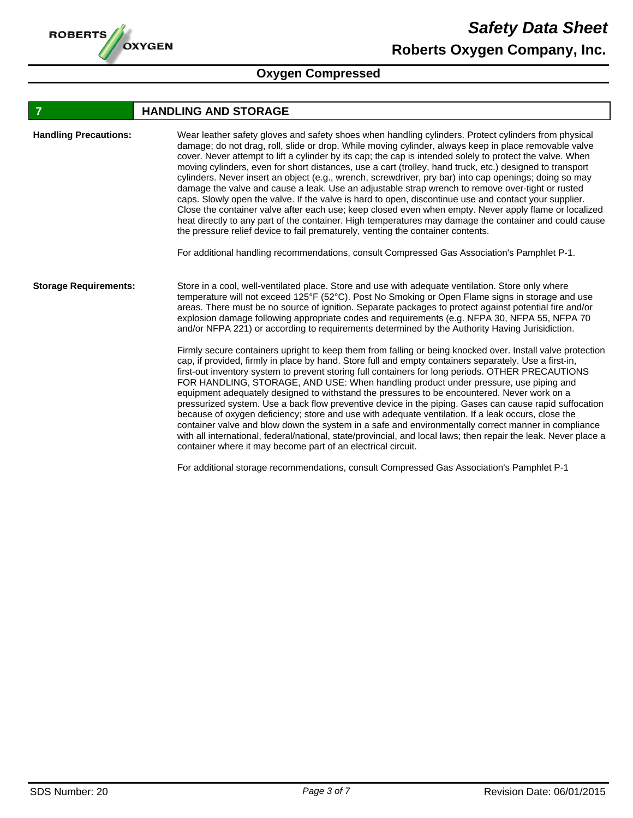

## **FIGURE 12 IN STORAGE**

| <b>Handling Precautions:</b> | Wear leather safety gloves and safety shoes when handling cylinders. Protect cylinders from physical<br>damage; do not drag, roll, slide or drop. While moving cylinder, always keep in place removable valve<br>cover. Never attempt to lift a cylinder by its cap; the cap is intended solely to protect the valve. When<br>moving cylinders, even for short distances, use a cart (trolley, hand truck, etc.) designed to transport<br>cylinders. Never insert an object (e.g., wrench, screwdriver, pry bar) into cap openings; doing so may<br>damage the valve and cause a leak. Use an adjustable strap wrench to remove over-tight or rusted<br>caps. Slowly open the valve. If the valve is hard to open, discontinue use and contact your supplier.<br>Close the container valve after each use; keep closed even when empty. Never apply flame or localized<br>heat directly to any part of the container. High temperatures may damage the container and could cause<br>the pressure relief device to fail prematurely, venting the container contents.<br>For additional handling recommendations, consult Compressed Gas Association's Pamphlet P-1. |
|------------------------------|--------------------------------------------------------------------------------------------------------------------------------------------------------------------------------------------------------------------------------------------------------------------------------------------------------------------------------------------------------------------------------------------------------------------------------------------------------------------------------------------------------------------------------------------------------------------------------------------------------------------------------------------------------------------------------------------------------------------------------------------------------------------------------------------------------------------------------------------------------------------------------------------------------------------------------------------------------------------------------------------------------------------------------------------------------------------------------------------------------------------------------------------------------------------|
| <b>Storage Requirements:</b> | Store in a cool, well-ventilated place. Store and use with adequate ventilation. Store only where<br>temperature will not exceed 125°F (52°C). Post No Smoking or Open Flame signs in storage and use<br>areas. There must be no source of ignition. Separate packages to protect against potential fire and/or<br>explosion damage following appropriate codes and requirements (e.g. NFPA 30, NFPA 55, NFPA 70<br>and/or NFPA 221) or according to requirements determined by the Authority Having Jurisidiction.<br>Firmly secure containers upright to keep them from falling or being knocked over. Install valve protection<br>cap, if provided, firmly in place by hand. Store full and empty containers separately. Use a first-in,                                                                                                                                                                                                                                                                                                                                                                                                                        |
|                              | first-out inventory system to prevent storing full containers for long periods. OTHER PRECAUTIONS<br>FOR HANDLING, STORAGE, AND USE: When handling product under pressure, use piping and<br>equipment adequately designed to withstand the pressures to be encountered. Never work on a<br>pressurized system. Use a back flow preventive device in the piping. Gases can cause rapid suffocation<br>because of oxygen deficiency; store and use with adequate ventilation. If a leak occurs, close the<br>container valve and blow down the system in a safe and environmentally correct manner in compliance<br>with all international, federal/national, state/provincial, and local laws; then repair the leak. Never place a<br>container where it may become part of an electrical circuit.                                                                                                                                                                                                                                                                                                                                                                 |

For additional storage recommendations, consult Compressed Gas Association's Pamphlet P-1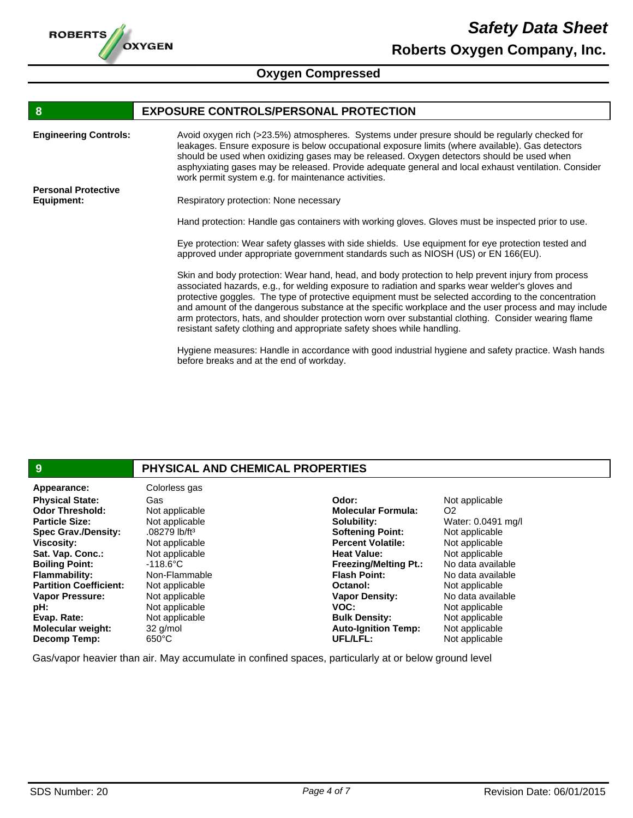

# **8 EXPOSURE CONTROLS/PERSONAL PROTECTION**

| <b>Engineering Controls:</b> | Avoid oxygen rich (>23.5%) atmospheres. Systems under presure should be regularly checked for<br>leakages. Ensure exposure is below occupational exposure limits (where available). Gas detectors<br>should be used when oxidizing gases may be released. Oxygen detectors should be used when<br>asphyxiating gases may be released. Provide adequate general and local exhaust ventilation. Consider<br>work permit system e.g. for maintenance activities.                                                                                                                                           |
|------------------------------|---------------------------------------------------------------------------------------------------------------------------------------------------------------------------------------------------------------------------------------------------------------------------------------------------------------------------------------------------------------------------------------------------------------------------------------------------------------------------------------------------------------------------------------------------------------------------------------------------------|
| <b>Personal Protective</b>   |                                                                                                                                                                                                                                                                                                                                                                                                                                                                                                                                                                                                         |
| Equipment:                   | Respiratory protection: None necessary                                                                                                                                                                                                                                                                                                                                                                                                                                                                                                                                                                  |
|                              | Hand protection: Handle gas containers with working gloves. Gloves must be inspected prior to use.                                                                                                                                                                                                                                                                                                                                                                                                                                                                                                      |
|                              | Eye protection: Wear safety glasses with side shields. Use equipment for eye protection tested and<br>approved under appropriate government standards such as NIOSH (US) or EN 166(EU).                                                                                                                                                                                                                                                                                                                                                                                                                 |
|                              | Skin and body protection: Wear hand, head, and body protection to help prevent injury from process<br>associated hazards, e.g., for welding exposure to radiation and sparks wear welder's gloves and<br>protective goggles. The type of protective equipment must be selected according to the concentration<br>and amount of the dangerous substance at the specific workplace and the user process and may include<br>arm protectors, hats, and shoulder protection worn over substantial clothing. Consider wearing flame<br>resistant safety clothing and appropriate safety shoes while handling. |
|                              | Hygiene measures: Handle in accordance with good industrial hygiene and safety practice. Wash hands<br>before breaks and at the end of workday.                                                                                                                                                                                                                                                                                                                                                                                                                                                         |
|                              |                                                                                                                                                                                                                                                                                                                                                                                                                                                                                                                                                                                                         |

| 9                             | PHYSICAL AND CHEMICAL PROPERTIES |                              |                    |
|-------------------------------|----------------------------------|------------------------------|--------------------|
| Appearance:                   | Colorless gas                    |                              |                    |
| <b>Physical State:</b>        | Gas                              | Odor:                        | Not applicable     |
| <b>Odor Threshold:</b>        | Not applicable                   | <b>Molecular Formula:</b>    | O <sub>2</sub>     |
| <b>Particle Size:</b>         | Not applicable                   | Solubility:                  | Water: 0.0491 mg/l |
| <b>Spec Grav./Density:</b>    | .08279 lb/ft <sup>3</sup>        | <b>Softening Point:</b>      | Not applicable     |
| <b>Viscosity:</b>             | Not applicable                   | <b>Percent Volatile:</b>     | Not applicable     |
| Sat. Vap. Conc.:              | Not applicable                   | <b>Heat Value:</b>           | Not applicable     |
| <b>Boiling Point:</b>         | $-118.6^{\circ}$ C               | <b>Freezing/Melting Pt.:</b> | No data available  |
| <b>Flammability:</b>          | Non-Flammable                    | <b>Flash Point:</b>          | No data available  |
| <b>Partition Coefficient:</b> | Not applicable                   | Octanol:                     | Not applicable     |
| <b>Vapor Pressure:</b>        | Not applicable                   | <b>Vapor Density:</b>        | No data available  |
| pH:                           | Not applicable                   | VOC:                         | Not applicable     |
| Evap. Rate:                   | Not applicable                   | <b>Bulk Density:</b>         | Not applicable     |
| <b>Molecular weight:</b>      | 32 g/mol                         | <b>Auto-Ignition Temp:</b>   | Not applicable     |
| Decomp Temp:                  | $650^{\circ}$ C                  | UFL/LFL:                     | Not applicable     |

Gas/vapor heavier than air. May accumulate in confined spaces, particularly at or below ground level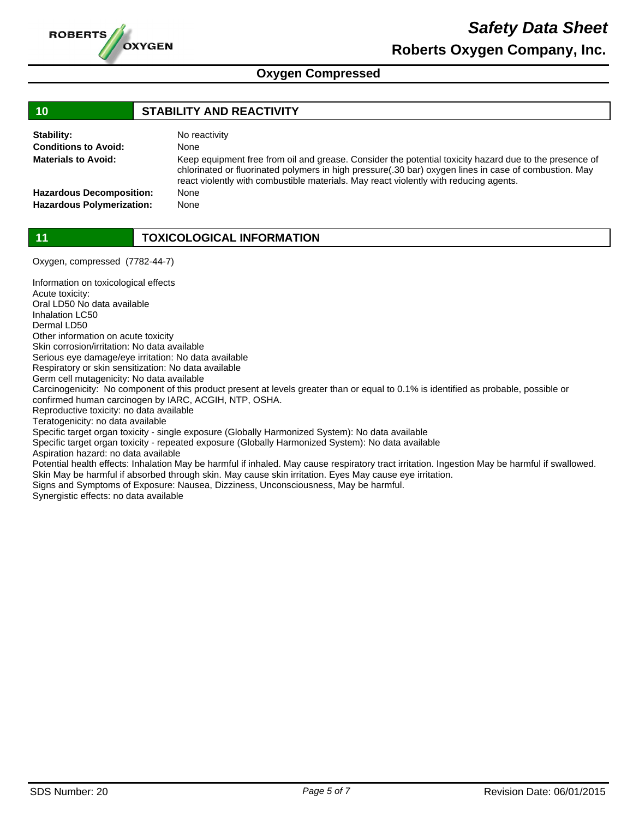

| 10                               | <b>STABILITY AND REACTIVITY</b>                                                                                                                                                                                                                                                                          |
|----------------------------------|----------------------------------------------------------------------------------------------------------------------------------------------------------------------------------------------------------------------------------------------------------------------------------------------------------|
| Stability:                       | No reactivity                                                                                                                                                                                                                                                                                            |
| <b>Conditions to Avoid:</b>      | None                                                                                                                                                                                                                                                                                                     |
| <b>Materials to Avoid:</b>       | Keep equipment free from oil and grease. Consider the potential toxicity hazard due to the presence of<br>chlorinated or fluorinated polymers in high pressure(.30 bar) oxygen lines in case of combustion. May<br>react violently with combustible materials. May react violently with reducing agents. |
| <b>Hazardous Decomposition:</b>  | None                                                                                                                                                                                                                                                                                                     |
| <b>Hazardous Polymerization:</b> | None                                                                                                                                                                                                                                                                                                     |
|                                  |                                                                                                                                                                                                                                                                                                          |

**11 TOXICOLOGICAL INFORMATION**

Oxygen, compressed (7782-44-7)

Information on toxicological effects Acute toxicity: Oral LD50 No data available Inhalation LC50 Dermal LD50 Other information on acute toxicity Skin corrosion/irritation: No data available Serious eye damage/eye irritation: No data available Respiratory or skin sensitization: No data available Germ cell mutagenicity: No data available Carcinogenicity: No component of this product present at levels greater than or equal to 0.1% is identified as probable, possible or confirmed human carcinogen by IARC, ACGIH, NTP, OSHA. Reproductive toxicity: no data available Teratogenicity: no data available Specific target organ toxicity - single exposure (Globally Harmonized System): No data available Specific target organ toxicity - repeated exposure (Globally Harmonized System): No data available Aspiration hazard: no data available Potential health effects: Inhalation May be harmful if inhaled. May cause respiratory tract irritation. Ingestion May be harmful if swallowed. Skin May be harmful if absorbed through skin. May cause skin irritation. Eyes May cause eye irritation. Signs and Symptoms of Exposure: Nausea, Dizziness, Unconsciousness, May be harmful. Synergistic effects: no data available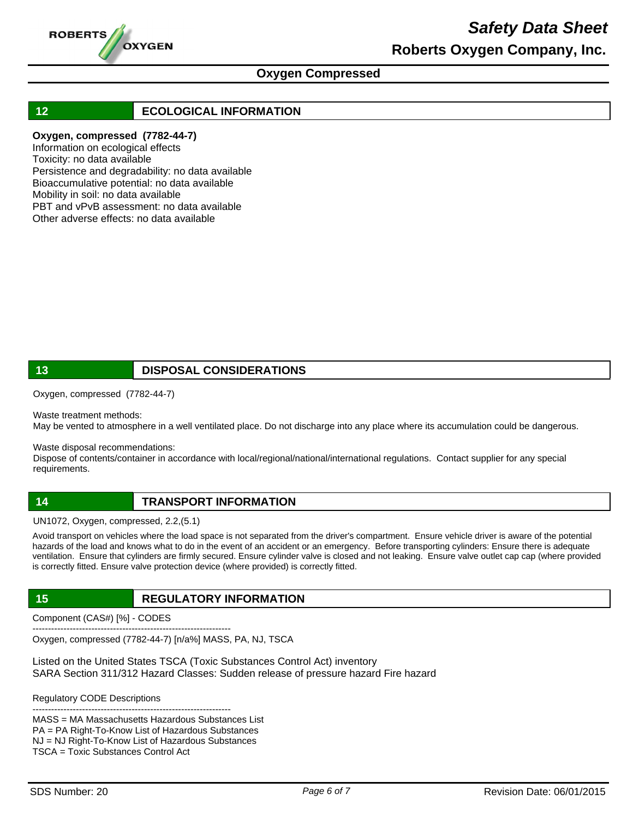

# *Safety Data Sheet* **Roberts Oxygen Company, Inc.**

### **Oxygen Compressed**

### **12 ECOLOGICAL INFORMATION**

### **Oxygen, compressed (7782-44-7)**

Information on ecological effects Toxicity: no data available Persistence and degradability: no data available Bioaccumulative potential: no data available Mobility in soil: no data available PBT and vPvB assessment: no data available Other adverse effects: no data available

### **13 DISPOSAL CONSIDERATIONS**

Oxygen, compressed (7782-44-7)

Waste treatment methods:

May be vented to atmosphere in a well ventilated place. Do not discharge into any place where its accumulation could be dangerous.

Waste disposal recommendations:

Dispose of contents/container in accordance with local/regional/national/international regulations. Contact supplier for any special requirements.

### **14 TRANSPORT INFORMATION**

UN1072, Oxygen, compressed, 2.2,(5.1)

Avoid transport on vehicles where the load space is not separated from the driver's compartment. Ensure vehicle driver is aware of the potential hazards of the load and knows what to do in the event of an accident or an emergency. Before transporting cylinders: Ensure there is adequate ventilation. Ensure that cylinders are firmly secured. Ensure cylinder valve is closed and not leaking. Ensure valve outlet cap cap (where provided is correctly fitted. Ensure valve protection device (where provided) is correctly fitted.

### **15 REGULATORY INFORMATION**

Component (CAS#) [%] - CODES

---------------------------------------------------------------- Oxygen, compressed (7782-44-7) [n/a%] MASS, PA, NJ, TSCA

Listed on the United States TSCA (Toxic Substances Control Act) inventory SARA Section 311/312 Hazard Classes: Sudden release of pressure hazard Fire hazard

Regulatory CODE Descriptions

---------------------------------------------------------------- MASS = MA Massachusetts Hazardous Substances List PA = PA Right-To-Know List of Hazardous Substances NJ = NJ Right-To-Know List of Hazardous Substances TSCA = Toxic Substances Control Act